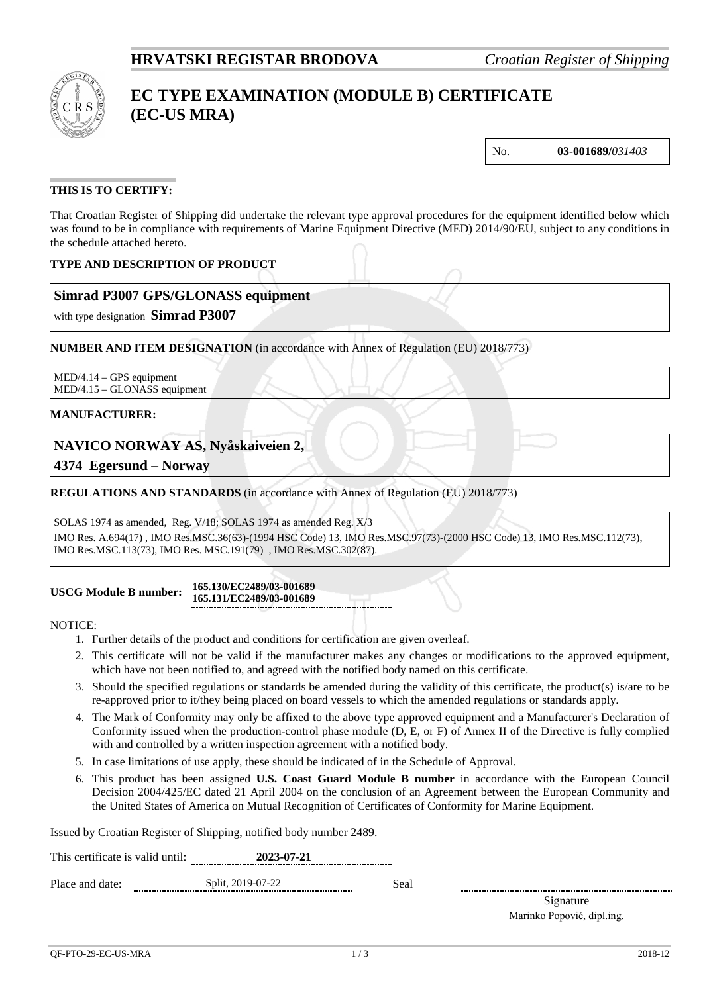# **HRVATSKI REGISTAR BRODOVA** *Croatian Register of Shipping*



# **EC TYPE EXAMINATION (MODULE B) CERTIFICATE (EC-US MRA)**

No. **03-001689/***031403*

### **THIS IS TO CERTIFY:**

That Croatian Register of Shipping did undertake the relevant type approval procedures for the equipment identified below which was found to be in compliance with requirements of Marine Equipment Directive (MED) 2014/90/EU, subject to any conditions in the schedule attached hereto.

## **TYPE AND DESCRIPTION OF PRODUCT**

## **Simrad P3007 GPS/GLONASS equipment**

with type designation **Simrad P3007**

**NUMBER AND ITEM DESIGNATION** (in accordance with Annex of Regulation (EU) 2018/773)

MED/4.14 – GPS equipment MED/4.15 – GLONASS equipment

#### **MANUFACTURER:**

# **NAVICO NORWAY AS, Nyåskaiveien 2,**

**4374 Egersund – Norway**

### **REGULATIONS AND STANDARDS** (in accordance with Annex of Regulation (EU) 2018/773)

#### SOLAS 1974 as amended, Reg. V/18; SOLAS 1974 as amended Reg. X/3

IMO Res. A.694(17) , IMO Res.MSC.36(63)-(1994 HSC Code) 13, IMO Res.MSC.97(73)-(2000 HSC Code) 13, IMO Res.MSC.112(73), IMO Res.MSC.113(73), IMO Res. MSC.191(79) , IMO Res.MSC.302(87).

#### **USCG Module B number: 165.130/EC2489/03-001689 165.131/EC2489/03-001689**

NOTICE:

- 1. Further details of the product and conditions for certification are given overleaf.
- 2. This certificate will not be valid if the manufacturer makes any changes or modifications to the approved equipment, which have not been notified to, and agreed with the notified body named on this certificate.
- 3. Should the specified regulations or standards be amended during the validity of this certificate, the product(s) is/are to be re-approved prior to it/they being placed on board vessels to which the amended regulations or standards apply.
- 4. The Mark of Conformity may only be affixed to the above type approved equipment and a Manufacturer's Declaration of Conformity issued when the production-control phase module (D, E, or F) of Annex II of the Directive is fully complied with and controlled by a written inspection agreement with a notified body.
- 5. In case limitations of use apply, these should be indicated of in the Schedule of Approval.
- 6. This product has been assigned **U.S. Coast Guard Module B number** in accordance with the European Council Decision 2004/425/EC dated 21 April 2004 on the conclusion of an Agreement between the European Community and the United States of America on Mutual Recognition of Certificates of Conformity for Marine Equipment.

Issued by Croatian Register of Shipping, notified body number 2489.

This certificate is valid until: **2023-07-21** Place and date: Split, 2019-07-22 Seal

Signature Marinko Popović, dipl.ing.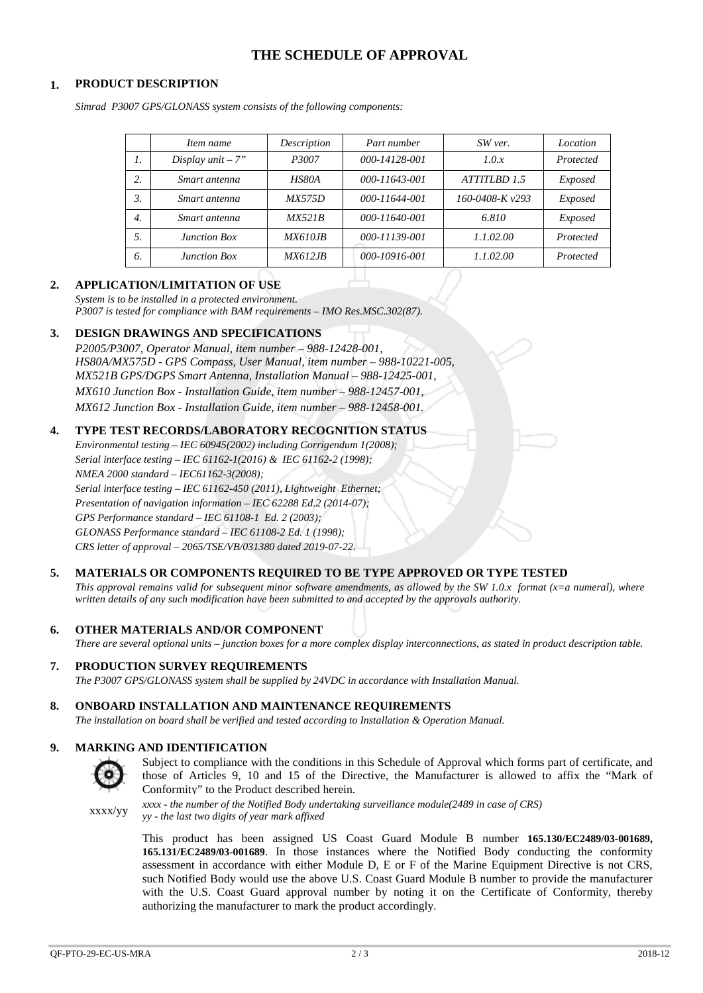# **THE SCHEDULE OF APPROVAL**

### **1. PRODUCT DESCRIPTION**

*Simrad P3007 GPS/GLONASS system consists of the following components:*

|                  | Item name           | Description     | Part number   | SW ver.              | Location  |
|------------------|---------------------|-----------------|---------------|----------------------|-----------|
| 1.               | Display unit $-7$ " | P3007           | 000-14128-001 | 1.0.x                | Protected |
| 2.               | Smart antenna       | HS80A           | 000-11643-001 | ATTITLBD 1.5         | Exposed   |
| 3.               | Smart antenna       | <i>MX575D</i>   | 000-11644-001 | $160 - 0408 - Kv293$ | Exposed   |
| $\overline{4}$ . | Smart antenna       | MX521B          | 000-11640-001 | 6.810                | Exposed   |
| .5.              | Junction Box        | <i>MX610.IB</i> | 000-11139-001 | 1.1.02.00            | Protected |
| 6.               | Junction Box        | <i>MX612.IB</i> | 000-10916-001 | 1.1.02.00            | Protected |

#### **2. APPLICATION/LIMITATION OF USE**

*System is to be installed in a protected environment. P3007 is tested for compliance with BAM requirements – IMO Res.MSC.302(87).*

#### **3. DESIGN DRAWINGS AND SPECIFICATIONS**

*P2005/P3007, Operator Manual, item number – 988-12428-001, HS80A/MX575D - GPS Compass, User Manual, item number – 988-10221-005, MX521B GPS/DGPS Smart Antenna, Installation Manual – 988-12425-001, MX610 Junction Box - Installation Guide, item number – 988-12457-001, MX612 Junction Box - Installation Guide, item number – 988-12458-001.*

#### **4. TYPE TEST RECORDS/LABORATORY RECOGNITION STATUS**

*Environmental testing – IEC 60945(2002) including Corrigendum 1(2008); Serial interface testing – IEC 61162-1(2016) & IEC 61162-2 (1998); NMEA 2000 standard – IEC61162-3(2008); Serial interface testing – IEC 61162-450 (2011), Lightweight Ethernet; Presentation of navigation information – IEC 62288 Ed.2 (2014-07); GPS Performance standard – IEC 61108-1 Ed. 2 (2003); GLONASS Performance standard – IEC 61108-2 Ed. 1 (1998); CRS letter of approval – 2065/TSE/VB/031380 dated 2019-07-22.*

#### **5. MATERIALS OR COMPONENTS REQUIRED TO BE TYPE APPROVED OR TYPE TESTED**

*This approval remains valid for subsequent minor software amendments, as allowed by the SW 1.0.x format (x=a numeral), where written details of any such modification have been submitted to and accepted by the approvals authority.*

#### **6. OTHER MATERIALS AND/OR COMPONENT**

*There are several optional units – junction boxes for a more complex display interconnections, as stated in product description table.*

### **7. PRODUCTION SURVEY REQUIREMENTS**

*The P3007 GPS/GLONASS system shall be supplied by 24VDC in accordance with Installation Manual.*

### **8. ONBOARD INSTALLATION AND MAINTENANCE REQUIREMENTS**

*The installation on board shall be verified and tested according to Installation & Operation Manual.*

#### **9. MARKING AND IDENTIFICATION**



Subject to compliance with the conditions in this Schedule of Approval which forms part of certificate, and those of Articles 9, 10 and 15 of the Directive, the Manufacturer is allowed to affix the "Mark of Conformity" to the Product described herein.

xxxx/yy *xxxx - the number of the Notified Body undertaking surveillance module(2489 in case of CRS) yy - the last two digits of year mark affixed*

> This product has been assigned US Coast Guard Module B number **165.130/EC2489/03-001689, 165.131/EC2489/03-001689**. In those instances where the Notified Body conducting the conformity assessment in accordance with either Module D, E or F of the Marine Equipment Directive is not CRS, such Notified Body would use the above U.S. Coast Guard Module B number to provide the manufacturer with the U.S. Coast Guard approval number by noting it on the Certificate of Conformity, thereby authorizing the manufacturer to mark the product accordingly.